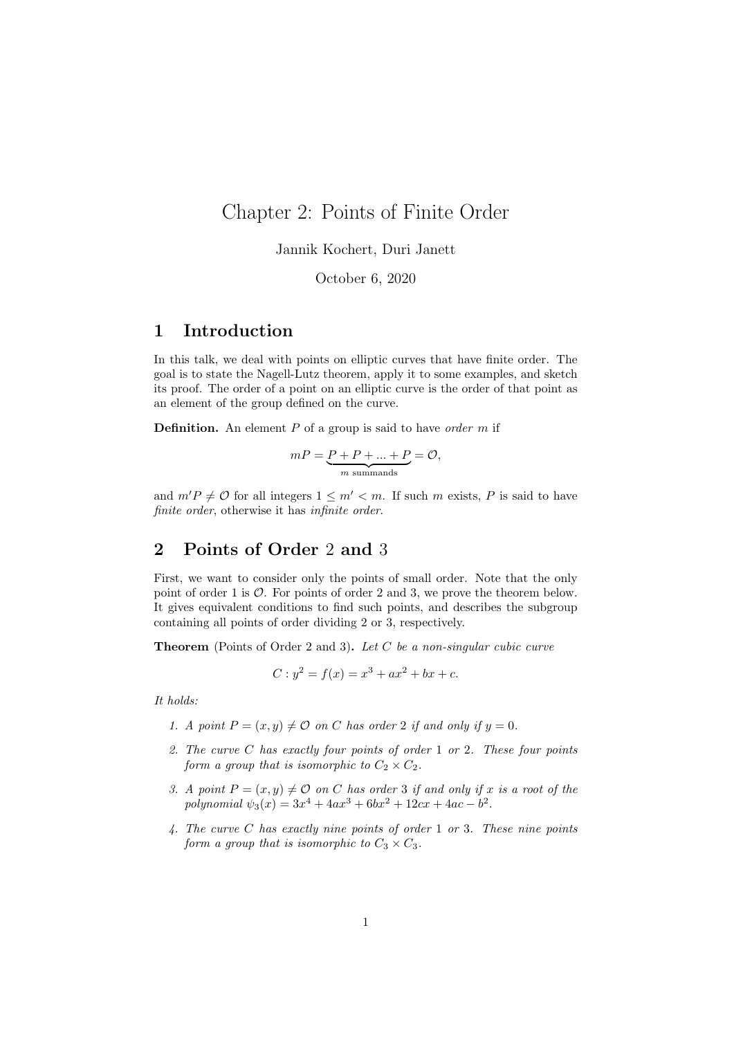# Chapter 2: Points of Finite Order

Jannik Kochert, Duri Janett

October 6, 2020

## 1 Introduction

In this talk, we deal with points on elliptic curves that have finite order. The goal is to state the Nagell-Lutz theorem, apply it to some examples, and sketch its proof. The order of a point on an elliptic curve is the order of that point as an element of the group defined on the curve.

**Definition.** An element  $P$  of a group is said to have order  $m$  if

$$
mP = \underbrace{P + P + \dots + P}_{m \text{ summands}} = \mathcal{O},
$$

and  $m'P \neq \mathcal{O}$  for all integers  $1 \leq m' < m$ . If such m exists, P is said to have finite order, otherwise it has infinite order.

## 2 Points of Order 2 and 3

First, we want to consider only the points of small order. Note that the only point of order 1 is  $\mathcal{O}$ . For points of order 2 and 3, we prove the theorem below. It gives equivalent conditions to find such points, and describes the subgroup containing all points of order dividing 2 or 3, respectively.

**Theorem** (Points of Order 2 and 3). Let C be a non-singular cubic curve

$$
C: y^2 = f(x) = x^3 + ax^2 + bx + c.
$$

It holds:

- 1. A point  $P = (x, y) \neq 0$  on C has order 2 if and only if  $y = 0$ .
- 2. The curve C has exactly four points of order 1 or 2. These four points form a group that is isomorphic to  $C_2 \times C_2$ .
- 3. A point  $P = (x, y) \neq O$  on C has order 3 if and only if x is a root of the polynomial  $\psi_3(x) = 3x^4 + 4ax^3 + 6bx^2 + 12cx + 4ac - b^2$ .
- 4. The curve C has exactly nine points of order 1 or 3. These nine points form a group that is isomorphic to  $C_3 \times C_3$ .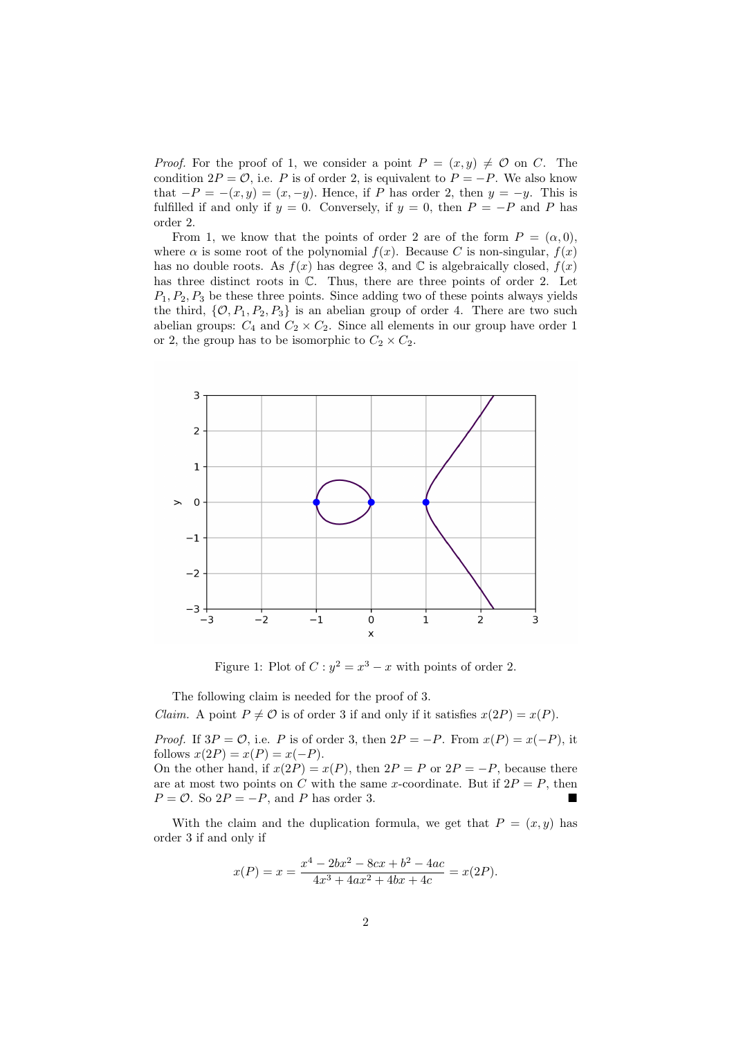*Proof.* For the proof of 1, we consider a point  $P = (x, y) \neq \mathcal{O}$  on C. The condition  $2P = \mathcal{O}$ , i.e. P is of order 2, is equivalent to  $P = -P$ . We also know that  $-P = -(x, y) = (x, -y)$ . Hence, if P has order 2, then  $y = -y$ . This is fulfilled if and only if  $y = 0$ . Conversely, if  $y = 0$ , then  $P = -P$  and P has order 2.

From 1, we know that the points of order 2 are of the form  $P = (\alpha, 0)$ , where  $\alpha$  is some root of the polynomial  $f(x)$ . Because C is non-singular,  $f(x)$ has no double roots. As  $f(x)$  has degree 3, and  $\mathbb C$  is algebraically closed,  $f(x)$ has three distinct roots in  $\mathbb{C}$ . Thus, there are three points of order 2. Let  $P_1, P_2, P_3$  be these three points. Since adding two of these points always yields the third,  $\{0, P_1, P_2, P_3\}$  is an abelian group of order 4. There are two such abelian groups:  $C_4$  and  $C_2 \times C_2$ . Since all elements in our group have order 1 or 2, the group has to be isomorphic to  $C_2 \times C_2$ .



Figure 1: Plot of  $C: y^2 = x^3 - x$  with points of order 2.

The following claim is needed for the proof of 3.

Claim. A point  $P \neq \mathcal{O}$  is of order 3 if and only if it satisfies  $x(2P) = x(P)$ .

*Proof.* If  $3P = \mathcal{O}$ , i.e. P is of order 3, then  $2P = -P$ . From  $x(P) = x(-P)$ , it follows  $x(2P) = x(P) = x(-P)$ . On the other hand, if  $x(2P) = x(P)$ , then  $2P = P$  or  $2P = -P$ , because there are at most two points on C with the same x-coordinate. But if  $2P = P$ , then  $P = \mathcal{O}$ . So  $2P = -P$ , and P has order 3.

With the claim and the duplication formula, we get that  $P = (x, y)$  has order 3 if and only if

$$
x(P) = x = \frac{x^4 - 2bx^2 - 8cx + b^2 - 4ac}{4x^3 + 4ax^2 + 4bx + 4c} = x(2P).
$$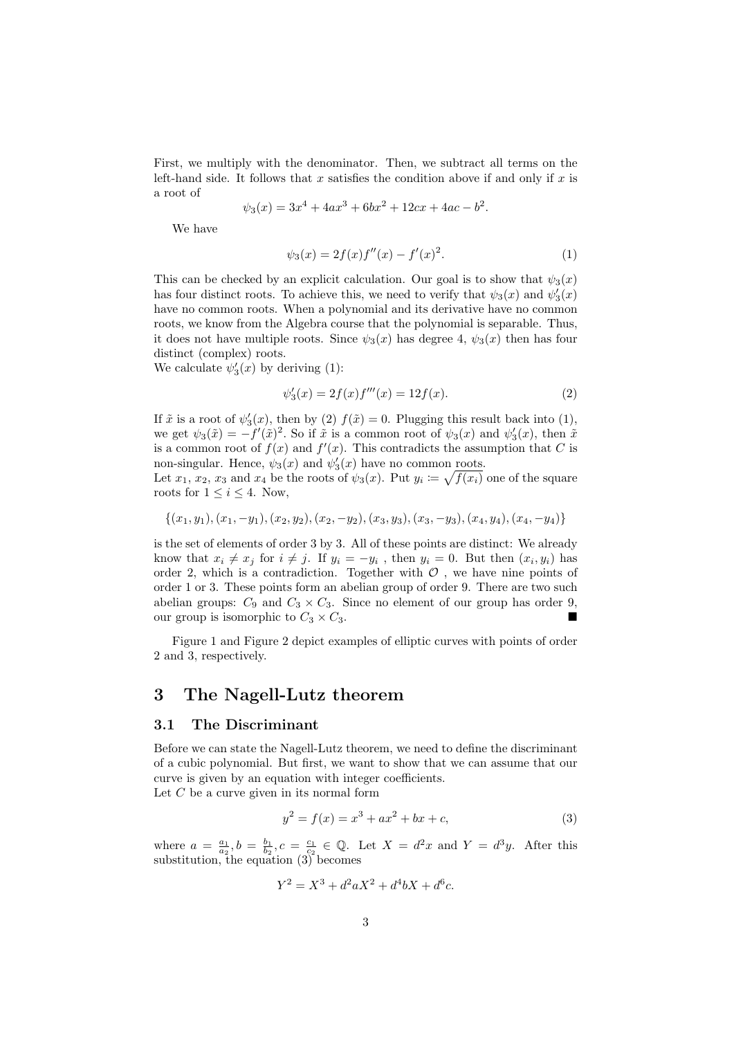First, we multiply with the denominator. Then, we subtract all terms on the left-hand side. It follows that x satisfies the condition above if and only if x is a root of

$$
\psi_3(x) = 3x^4 + 4ax^3 + 6bx^2 + 12cx + 4ac - b^2.
$$

We have

$$
\psi_3(x) = 2f(x)f''(x) - f'(x)^2.
$$
\n(1)

This can be checked by an explicit calculation. Our goal is to show that  $\psi_3(x)$ has four distinct roots. To achieve this, we need to verify that  $\psi_3(x)$  and  $\psi'_3(x)$ have no common roots. When a polynomial and its derivative have no common roots, we know from the Algebra course that the polynomial is separable. Thus, it does not have multiple roots. Since  $\psi_3(x)$  has degree 4,  $\psi_3(x)$  then has four distinct (complex) roots.

We calculate  $\psi_3'(x)$  by deriving (1):

$$
\psi_3'(x) = 2f(x)f'''(x) = 12f(x). \tag{2}
$$

If  $\tilde{x}$  is a root of  $\psi_3'(x)$ , then by (2)  $f(\tilde{x}) = 0$ . Plugging this result back into (1), we get  $\psi_3(\tilde{x}) = -f'(\tilde{x})^2$ . So if  $\tilde{x}$  is a common root of  $\psi_3(x)$  and  $\psi'_3(x)$ , then  $\tilde{x}$ is a common root of  $f(x)$  and  $f'(x)$ . This contradicts the assumption that C is non-singular. Hence,  $\psi_3(x)$  and  $\psi'_3(x)$  have no common roots.

Let  $x_1, x_2, x_3$  and  $x_4$  be the roots of  $\psi_3(x)$ . Put  $y_i \coloneqq \sqrt{f(x_i)}$  one of the square roots for  $1 \leq i \leq 4$ . Now,

$$
\{(x_1,y_1),(x_1,-y_1),(x_2,y_2),(x_2,-y_2),(x_3,y_3),(x_3,-y_3),(x_4,y_4),(x_4,-y_4)\}
$$

is the set of elements of order 3 by 3. All of these points are distinct: We already know that  $x_i \neq x_j$  for  $i \neq j$ . If  $y_i = -y_i$ , then  $y_i = 0$ . But then  $(x_i, y_i)$  has order 2, which is a contradiction. Together with  $\mathcal O$  , we have nine points of order 1 or 3. These points form an abelian group of order 9. There are two such abelian groups:  $C_9$  and  $C_3 \times C_3$ . Since no element of our group has order 9, our group is isomorphic to  $C_3 \times C_3$ .

Figure 1 and Figure 2 depict examples of elliptic curves with points of order 2 and 3, respectively.

## 3 The Nagell-Lutz theorem

#### 3.1 The Discriminant

Before we can state the Nagell-Lutz theorem, we need to define the discriminant of a cubic polynomial. But first, we want to show that we can assume that our curve is given by an equation with integer coefficients.

Let  $C$  be a curve given in its normal form

$$
y^2 = f(x) = x^3 + ax^2 + bx + c,\tag{3}
$$

where  $a = \frac{a_1}{a_2}$ ,  $b = \frac{b_1}{b_2}$ ,  $c = \frac{c_1}{c_2} \in \mathbb{Q}$ . Let  $X = d^2x$  and  $Y = d^3y$ . After this substitution, the equation (3) becomes

$$
Y^2 = X^3 + d^2 a X^2 + d^4 b X + d^6 c.
$$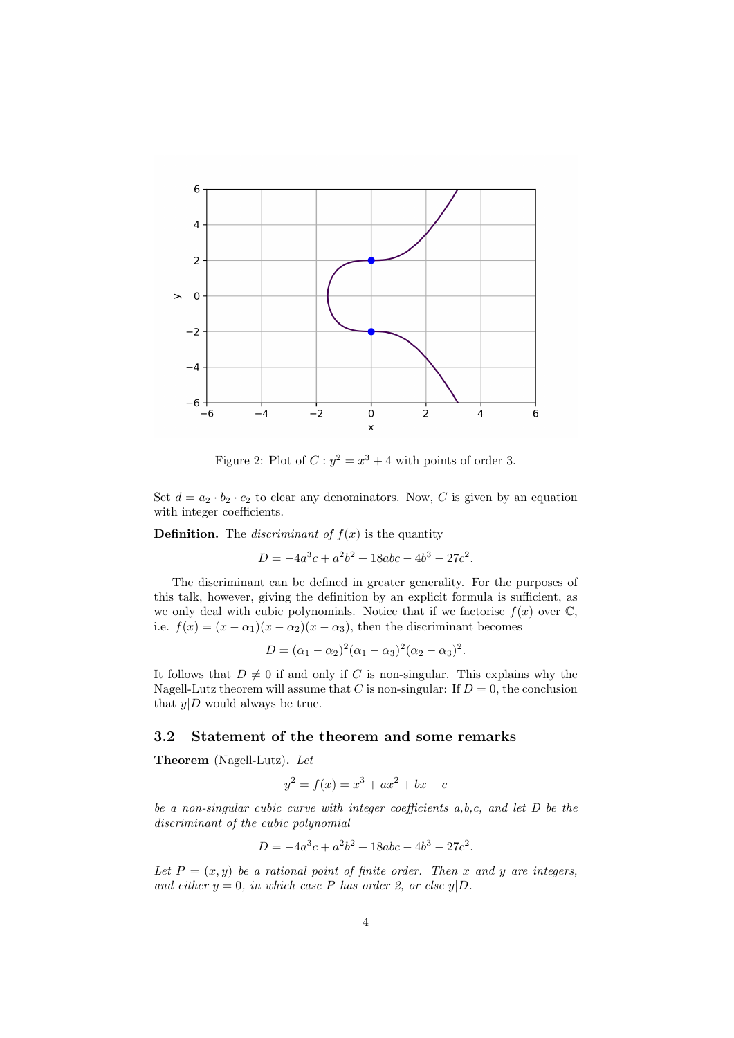

Figure 2: Plot of  $C: y^2 = x^3 + 4$  with points of order 3.

Set  $d = a_2 \cdot b_2 \cdot c_2$  to clear any denominators. Now, C is given by an equation with integer coefficients.

**Definition.** The *discriminant of*  $f(x)$  is the quantity

 $D = -4a^3c + a^2b^2 + 18abc - 4b^3 - 27c^2$ .

The discriminant can be defined in greater generality. For the purposes of this talk, however, giving the definition by an explicit formula is sufficient, as we only deal with cubic polynomials. Notice that if we factorise  $f(x)$  over  $\mathbb{C}$ , i.e.  $f(x) = (x - \alpha_1)(x - \alpha_2)(x - \alpha_3)$ , then the discriminant becomes

$$
D = (\alpha_1 - \alpha_2)^2 (\alpha_1 - \alpha_3)^2 (\alpha_2 - \alpha_3)^2.
$$

It follows that  $D \neq 0$  if and only if C is non-singular. This explains why the Nagell-Lutz theorem will assume that C is non-singular: If  $D = 0$ , the conclusion that  $y|D$  would always be true.

### 3.2 Statement of the theorem and some remarks

Theorem (Nagell-Lutz). Let

$$
y^2 = f(x) = x^3 + ax^2 + bx + c
$$

be a non-singular cubic curve with integer coefficients a,b,c, and let D be the discriminant of the cubic polynomial

$$
D = -4a^3c + a^2b^2 + 18abc - 4b^3 - 27c^2.
$$

Let  $P = (x, y)$  be a rational point of finite order. Then x and y are integers, and either  $y = 0$ , in which case P has order 2, or else  $y|D$ .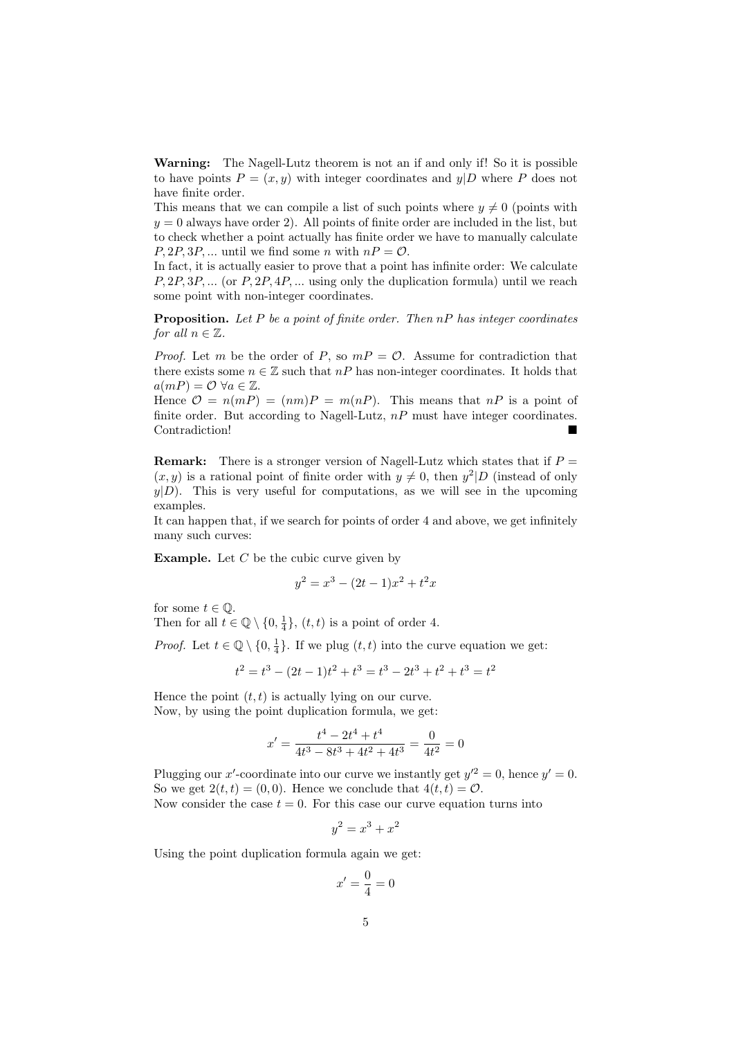Warning: The Nagell-Lutz theorem is not an if and only if! So it is possible to have points  $P = (x, y)$  with integer coordinates and  $y|D$  where P does not have finite order.

This means that we can compile a list of such points where  $y \neq 0$  (points with  $y = 0$  always have order 2). All points of finite order are included in the list, but to check whether a point actually has finite order we have to manually calculate  $P, 2P, 3P, ...$  until we find some n with  $nP = \mathcal{O}$ .

In fact, it is actually easier to prove that a point has infinite order: We calculate  $P, 2P, 3P, \ldots$  (or  $P, 2P, 4P, \ldots$  using only the duplication formula) until we reach some point with non-integer coordinates.

**Proposition.** Let P be a point of finite order. Then  $nP$  has integer coordinates for all  $n \in \mathbb{Z}$ .

*Proof.* Let m be the order of P, so  $mP = \mathcal{O}$ . Assume for contradiction that there exists some  $n \in \mathbb{Z}$  such that  $nP$  has non-integer coordinates. It holds that  $a(mP) = \mathcal{O} \ \forall a \in \mathbb{Z}.$ 

Hence  $\mathcal{O} = n(mP) = (nm)P = m(nP)$ . This means that  $nP$  is a point of finite order. But according to Nagell-Lutz,  $nP$  must have integer coordinates. Contradiction!

**Remark:** There is a stronger version of Nagell-Lutz which states that if  $P =$  $(x, y)$  is a rational point of finite order with  $y \neq 0$ , then  $y^2|D$  (instead of only  $y|D$ . This is very useful for computations, as we will see in the upcoming examples.

It can happen that, if we search for points of order 4 and above, we get infinitely many such curves:

**Example.** Let  $C$  be the cubic curve given by

$$
y^2 = x^3 - (2t - 1)x^2 + t^2x
$$

for some  $t \in \mathbb{Q}$ .

Then for all  $t \in \mathbb{Q} \setminus \{0, \frac{1}{4}\}, (t, t)$  is a point of order 4.

*Proof.* Let  $t \in \mathbb{Q} \setminus \{0, \frac{1}{4}\}.$  If we plug  $(t, t)$  into the curve equation we get:

$$
t2 = t3 - (2t - 1)t2 + t3 = t3 - 2t3 + t2 + t3 = t2
$$

Hence the point  $(t, t)$  is actually lying on our curve. Now, by using the point duplication formula, we get:

$$
x' = \frac{t^4 - 2t^4 + t^4}{4t^3 - 8t^3 + 4t^2 + 4t^3} = \frac{0}{4t^2} = 0
$$

Plugging our x'-coordinate into our curve we instantly get  $y'^2 = 0$ , hence  $y' = 0$ . So we get  $2(t, t) = (0, 0)$ . Hence we conclude that  $4(t, t) = \mathcal{O}$ . Now consider the case  $t = 0$ . For this case our curve equation turns into

$$
y^2 = x^3 + x^2
$$

Using the point duplication formula again we get:

$$
x' = \frac{0}{4} = 0
$$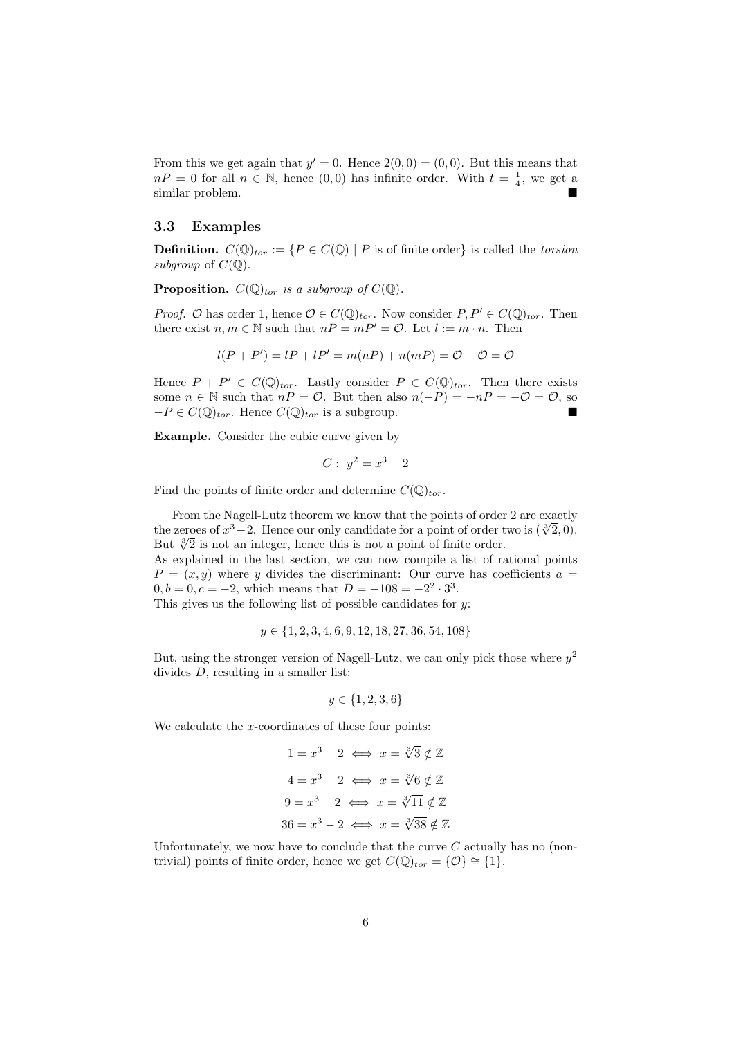From this we get again that  $y' = 0$ . Hence  $2(0,0) = (0,0)$ . But this means that  $nP = 0$  for all  $n \in \mathbb{N}$ , hence  $(0,0)$  has infinite order. With  $t = \frac{1}{4}$ , we get a similar problem.

#### 3.3 Examples

**Definition.**  $C(\mathbb{Q})_{tor} := \{ P \in C(\mathbb{Q}) \mid P \text{ is of finite order} \}$  is called the *torsion* subgroup of  $C(\mathbb{Q})$ .

**Proposition.**  $C(\mathbb{Q})_{tor}$  is a subgroup of  $C(\mathbb{Q})$ .

*Proof.* O has order 1, hence  $O \in C(\mathbb{Q})_{tor}$ . Now consider  $P, P' \in C(\mathbb{Q})_{tor}$ . Then there exist  $n, m \in \mathbb{N}$  such that  $nP = mP' = \mathcal{O}$ . Let  $l := m \cdot n$ . Then

$$
l(P + P') = lP + lP' = m(nP) + n(mP) = O + O = O
$$

Hence  $P + P' \in C(\mathbb{Q})_{tor}$ . Lastly consider  $P \in C(\mathbb{Q})_{tor}$ . Then there exists some  $n \in \mathbb{N}$  such that  $nP = \mathcal{O}$ . But then also  $n(-P) = -nP = -\mathcal{O} = \mathcal{O}$ , so  $-P \in C(\mathbb{Q})_{tor}$ . Hence  $C(\mathbb{Q})_{tor}$  is a subgroup.

Example. Consider the cubic curve given by

$$
C: y^2 = x^3 - 2
$$

Find the points of finite order and determine  $C(\mathbb{Q})_{tor}$ .

From the Nagell-Lutz theorem we know that the points of order 2 are exactly From the Nagell-Lutz theorem we know that the points of order 2 are exactly<br>the zeroes of  $x^3-2$ . Hence our only candidate for a point of order two is  $(\sqrt[3]{2},0)$ . the zeroes of  $x^3 - 2$ . Hence our only candidate for a point of order that  $\sqrt[3]{2}$  is not an integer, hence this is not a point of finite order. As explained in the last section, we can now compile a list of rational points  $P = (x, y)$  where y divides the discriminant: Our curve has coefficients  $a =$  $0, b = 0, c = -2$ , which means that  $D = -108 = -2^2 \cdot 3^3$ . This gives us the following list of possible candidates for  $y$ :

$$
y \in \{1, 2, 3, 4, 6, 9, 12, 18, 27, 36, 54, 108\}
$$

But, using the stronger version of Nagell-Lutz, we can only pick those where  $y^2$ divides D, resulting in a smaller list:

$$
y \in \{1, 2, 3, 6\}
$$

We calculate the  $x$ -coordinates of these four points:

$$
1 = x3 - 2 \iff x = \sqrt[3]{3} \notin \mathbb{Z}
$$

$$
4 = x3 - 2 \iff x = \sqrt[3]{6} \notin \mathbb{Z}
$$

$$
9 = x3 - 2 \iff x = \sqrt[3]{11} \notin \mathbb{Z}
$$

$$
36 = x3 - 2 \iff x = \sqrt[3]{38} \notin \mathbb{Z}
$$

Unfortunately, we now have to conclude that the curve  $C$  actually has no (nontrivial) points of finite order, hence we get  $C(\mathbb{Q})_{tor} = \{O\} \cong \{1\}.$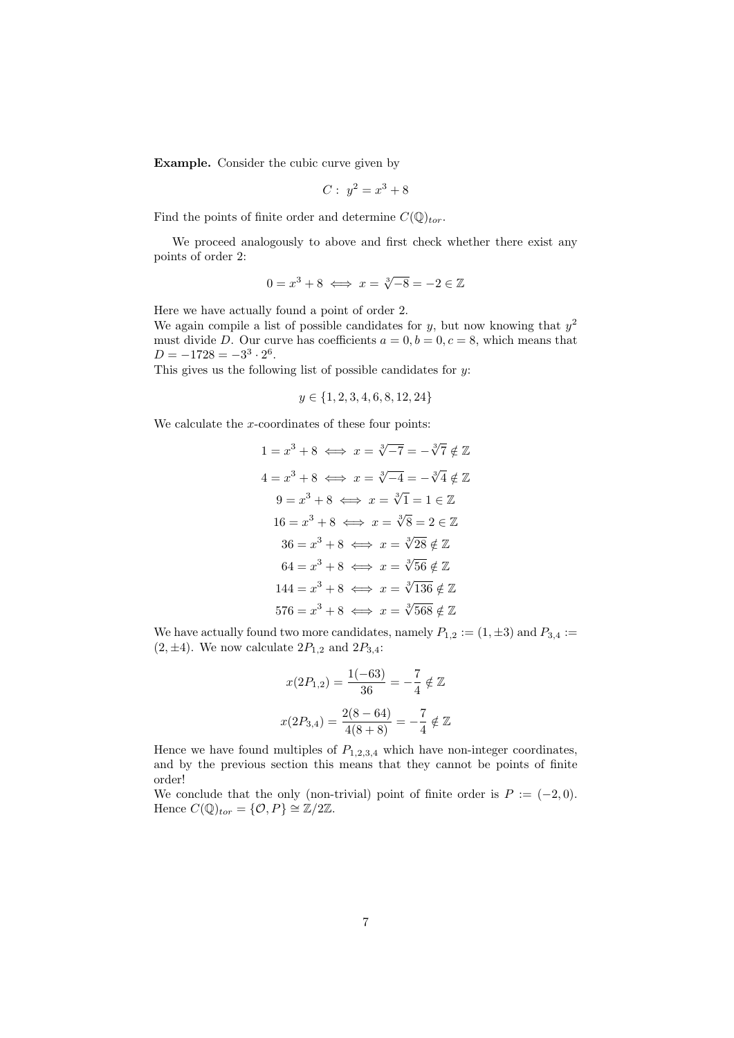Example. Consider the cubic curve given by

$$
C: y^2 = x^3 + 8
$$

Find the points of finite order and determine  $C(\mathbb{Q})_{tor}$ .

We proceed analogously to above and first check whether there exist any points of order 2:

$$
0 = x^3 + 8 \iff x = \sqrt[3]{-8} = -2 \in \mathbb{Z}
$$

Here we have actually found a point of order 2.

We again compile a list of possible candidates for y, but now knowing that  $y^2$ must divide D. Our curve has coefficients  $a = 0, b = 0, c = 8$ , which means that  $D = -1728 = -3^3 \cdot 2^6$ .

This gives us the following list of possible candidates for y:

$$
y \in \{1, 2, 3, 4, 6, 8, 12, 24\}
$$

We calculate the  $x$ -coordinates of these four points:

$$
1 = x^3 + 8 \iff x = \sqrt[3]{-7} = -\sqrt[3]{7} \notin \mathbb{Z}
$$
  

$$
4 = x^3 + 8 \iff x = \sqrt[3]{-4} = -\sqrt[3]{4} \notin \mathbb{Z}
$$
  

$$
9 = x^3 + 8 \iff x = \sqrt[3]{1} = 1 \in \mathbb{Z}
$$
  

$$
16 = x^3 + 8 \iff x = \sqrt[3]{8} = 2 \in \mathbb{Z}
$$
  

$$
36 = x^3 + 8 \iff x = \sqrt[3]{28} \notin \mathbb{Z}
$$
  

$$
64 = x^3 + 8 \iff x = \sqrt[3]{56} \notin \mathbb{Z}
$$
  

$$
144 = x^3 + 8 \iff x = \sqrt[3]{136} \notin \mathbb{Z}
$$
  

$$
576 = x^3 + 8 \iff x = \sqrt[3]{568} \notin \mathbb{Z}
$$

We have actually found two more candidates, namely  $P_{1,2} := (1, \pm 3)$  and  $P_{3,4} :=$  $(2, \pm 4)$ . We now calculate  $2P_{1,2}$  and  $2P_{3,4}$ :

$$
x(2P_{1,2}) = \frac{1(-63)}{36} = -\frac{7}{4} \notin \mathbb{Z}
$$

$$
x(2P_{3,4}) = \frac{2(8-64)}{4(8+8)} = -\frac{7}{4} \notin \mathbb{Z}
$$

Hence we have found multiples of  $P_{1,2,3,4}$  which have non-integer coordinates, and by the previous section this means that they cannot be points of finite order!

We conclude that the only (non-trivial) point of finite order is  $P := (-2, 0)$ . Hence  $C(\mathbb{Q})_{tor} = \{O, P\} \cong \mathbb{Z}/2\mathbb{Z}$ .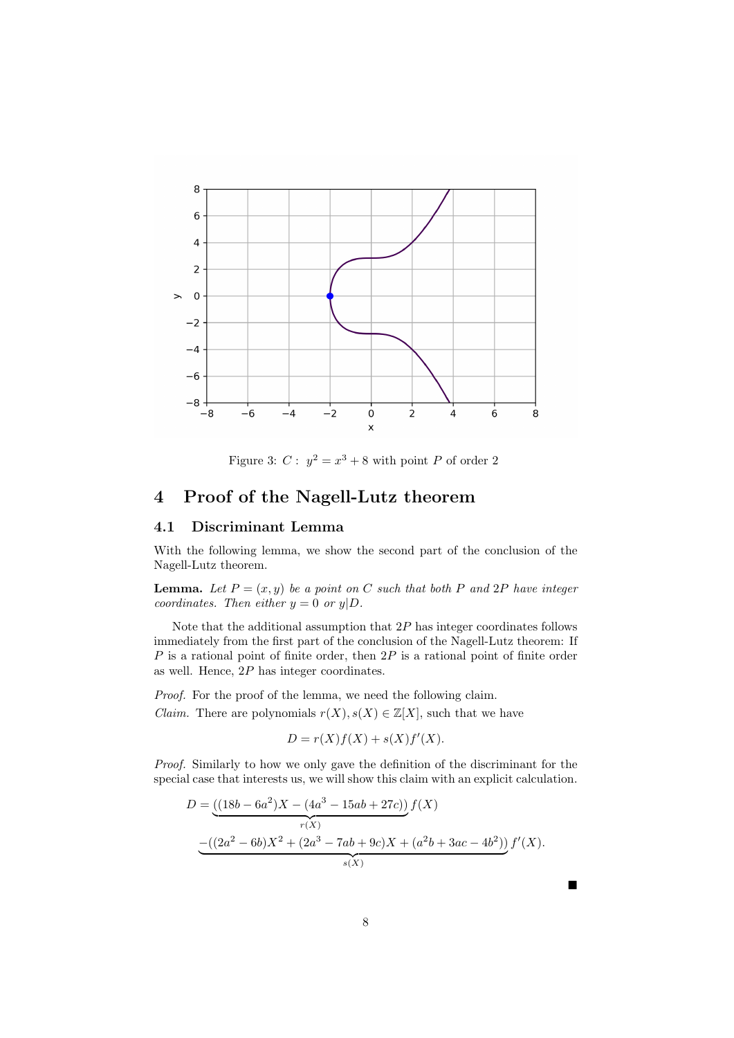

Figure 3:  $C: y^2 = x^3 + 8$  with point P of order 2

## 4 Proof of the Nagell-Lutz theorem

### 4.1 Discriminant Lemma

With the following lemma, we show the second part of the conclusion of the Nagell-Lutz theorem.

**Lemma.** Let  $P = (x, y)$  be a point on C such that both P and 2P have integer coordinates. Then either  $y = 0$  or  $y|D$ .

Note that the additional assumption that  $2P$  has integer coordinates follows immediately from the first part of the conclusion of the Nagell-Lutz theorem: If  $P$  is a rational point of finite order, then  $2P$  is a rational point of finite order as well. Hence, 2P has integer coordinates.

Proof. For the proof of the lemma, we need the following claim. *Claim.* There are polynomials  $r(X), s(X) \in \mathbb{Z}[X]$ , such that we have

$$
D = r(X)f(X) + s(X)f'(X).
$$

Proof. Similarly to how we only gave the definition of the discriminant for the special case that interests us, we will show this claim with an explicit calculation.

$$
D = \underbrace{((18b - 6a^2)X - (4a^3 - 15ab + 27c))}_{r(X)} f(X)
$$
  
 
$$
- \underbrace{((2a^2 - 6b)X^2 + (2a^3 - 7ab + 9c)X + (a^2b + 3ac - 4b^2))}_{s(X)} f'(X).
$$

8

 $\blacksquare$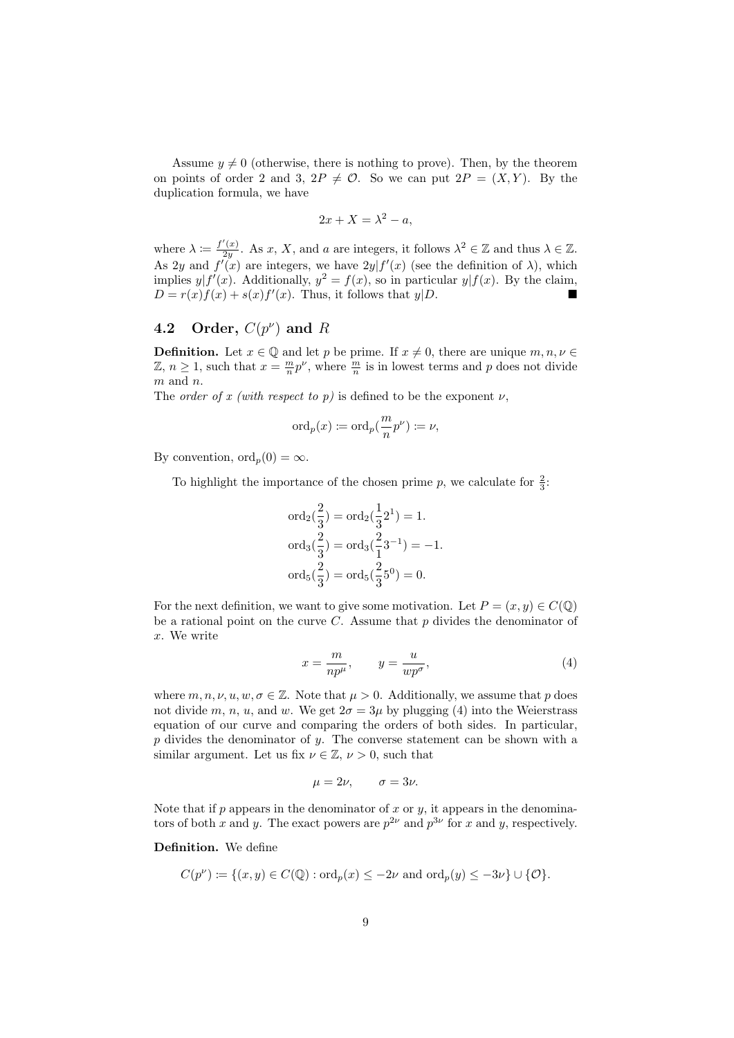Assume  $y \neq 0$  (otherwise, there is nothing to prove). Then, by the theorem on points of order 2 and 3,  $2P \neq \mathcal{O}$ . So we can put  $2P = (X, Y)$ . By the duplication formula, we have

$$
2x + X = \lambda^2 - a,
$$

where  $\lambda := \frac{f'(x)}{2y}$  $\frac{f(x)}{2y}$ . As x, X, and a are integers, it follows  $\lambda^2 \in \mathbb{Z}$  and thus  $\lambda \in \mathbb{Z}$ . As 2y and  $f'(x)$  are integers, we have  $2y|f'(x)$  (see the definition of  $\lambda$ ), which implies  $y|f'(x)$ . Additionally,  $y^2 = f(x)$ , so in particular  $y|f(x)$ . By the claim,  $D = r(x)f(x) + s(x)f'(x)$ . Thus, it follows that  $y|D$ .

### 4.2 Order,  $C(p^{\nu})$  and R

**Definition.** Let  $x \in \mathbb{Q}$  and let p be prime. If  $x \neq 0$ , there are unique  $m, n, \nu \in \mathbb{Q}$  $\mathbb{Z}, n \geq 1$ , such that  $x = \frac{m}{n}p^{\nu}$ , where  $\frac{m}{n}$  is in lowest terms and p does not divide  $m$  and  $n$ .

The *order of x (with respect to p)* is defined to be the exponent  $\nu$ ,

$$
\operatorname{ord}_p(x) \coloneqq \operatorname{ord}_p(\frac{m}{n}p^\nu) \coloneqq \nu,
$$

By convention,  $\text{ord}_n(0) = \infty$ .

To highlight the importance of the chosen prime  $p$ , we calculate for  $\frac{2}{3}$ :

$$
\begin{aligned}\n\text{ord}_2\left(\frac{2}{3}\right) &= \text{ord}_2\left(\frac{1}{3}2^1\right) = 1. \\
\text{ord}_3\left(\frac{2}{3}\right) &= \text{ord}_3\left(\frac{2}{1}3^{-1}\right) = -1. \\
\text{ord}_5\left(\frac{2}{3}\right) &= \text{ord}_5\left(\frac{2}{3}5^0\right) = 0.\n\end{aligned}
$$

For the next definition, we want to give some motivation. Let  $P = (x, y) \in C(\mathbb{Q})$ be a rational point on the curve  $C$ . Assume that  $p$  divides the denominator of x. We write

$$
x = \frac{m}{np^{\mu}}, \qquad y = \frac{u}{wp^{\sigma}}, \tag{4}
$$

where  $m, n, \nu, u, w, \sigma \in \mathbb{Z}$ . Note that  $\mu > 0$ . Additionally, we assume that p does not divide m, n, u, and w. We get  $2\sigma = 3\mu$  by plugging (4) into the Weierstrass equation of our curve and comparing the orders of both sides. In particular, p divides the denominator of  $y$ . The converse statement can be shown with a similar argument. Let us fix  $\nu \in \mathbb{Z}$ ,  $\nu > 0$ , such that

$$
\mu = 2\nu, \qquad \sigma = 3\nu.
$$

Note that if  $p$  appears in the denominator of  $x$  or  $y$ , it appears in the denominators of both x and y. The exact powers are  $p^{2\nu}$  and  $p^{3\nu}$  for x and y, respectively.

Definition. We define

$$
C(p^{\nu}) \coloneqq \{(x, y) \in C(\mathbb{Q}) : \text{ord}_p(x) \le -2\nu \text{ and } \text{ord}_p(y) \le -3\nu\} \cup \{\mathcal{O}\}.
$$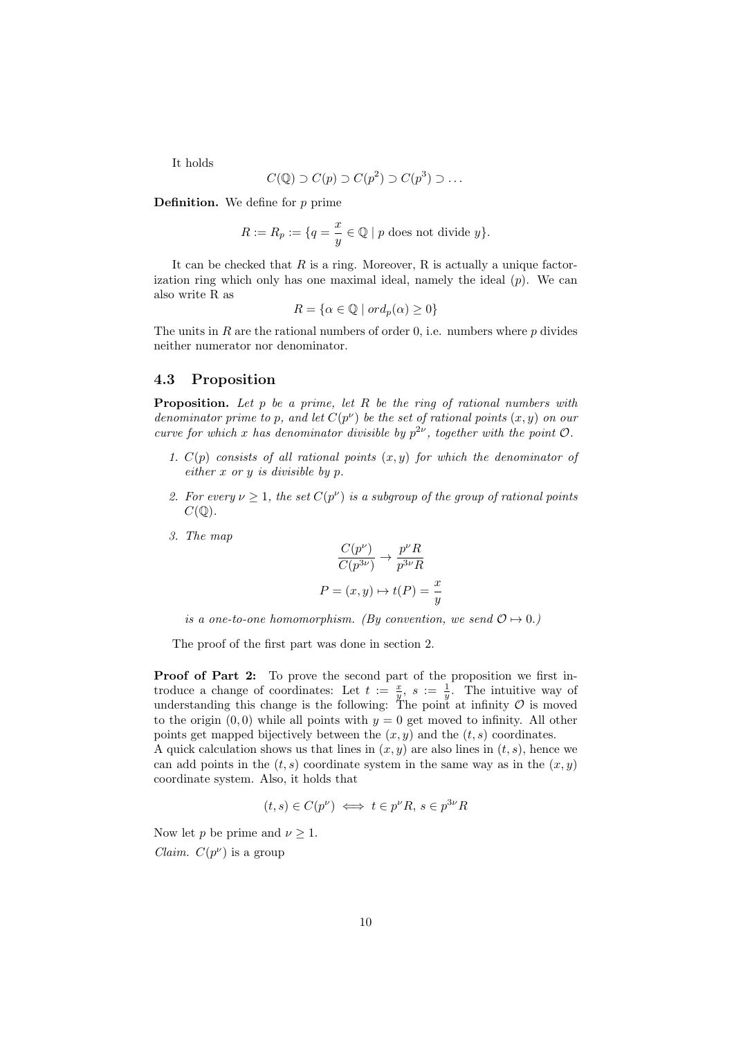It holds

$$
C(\mathbb{Q}) \supset C(p) \supset C(p^2) \supset C(p^3) \supset \dots
$$

**Definition.** We define for  $p$  prime

$$
R := R_p := \{ q = \frac{x}{y} \in \mathbb{Q} \mid p \text{ does not divide } y \}.
$$

It can be checked that  $R$  is a ring. Moreover,  $R$  is actually a unique factorization ring which only has one maximal ideal, namely the ideal  $(p)$ . We can also write R as

$$
R = \{ \alpha \in \mathbb{Q} \mid ord_p(\alpha) \ge 0 \}
$$

The units in R are the rational numbers of order 0, i.e. numbers where  $p$  divides neither numerator nor denominator.

### 4.3 Proposition

**Proposition.** Let  $p$  be a prime, let  $R$  be the ring of rational numbers with denominator prime to p, and let  $C(p^{\nu})$  be the set of rational points  $(x, y)$  on our curve for which x has denominator divisible by  $p^{2\nu}$ , together with the point  $\mathcal{O}$ .

- 1.  $C(p)$  consists of all rational points  $(x, y)$  for which the denominator of either x or y is divisible by p.
- 2. For every  $\nu \geq 1$ , the set  $C(p^{\nu})$  is a subgroup of the group of rational points  $C(\mathbb{Q})$ .
- 3. The map

$$
\frac{C(p^{\nu})}{C(p^{3\nu})} \to \frac{p^{\nu}R}{p^{3\nu}R}
$$

$$
P = (x, y) \mapsto t(P) = \frac{x}{y}
$$

is a one-to-one homomorphism. (By convention, we send  $\mathcal{O} \mapsto 0$ .)

The proof of the first part was done in section 2.

Proof of Part 2: To prove the second part of the proposition we first introduce a change of coordinates: Let  $t := \frac{x}{y}$ ,  $s := \frac{1}{y}$ . The intuitive way of understanding this change is the following: The point at infinity  $\mathcal O$  is moved to the origin  $(0, 0)$  while all points with  $y = 0$  get moved to infinity. All other points get mapped bijectively between the  $(x, y)$  and the  $(t, s)$  coordinates.

A quick calculation shows us that lines in  $(x, y)$  are also lines in  $(t, s)$ , hence we can add points in the  $(t, s)$  coordinate system in the same way as in the  $(x, y)$ coordinate system. Also, it holds that

$$
(t,s) \in C(p^{\nu}) \iff t \in p^{\nu}R, s \in p^{3\nu}R
$$

Now let p be prime and  $\nu \geq 1$ . *Claim.*  $C(p^{\nu})$  is a group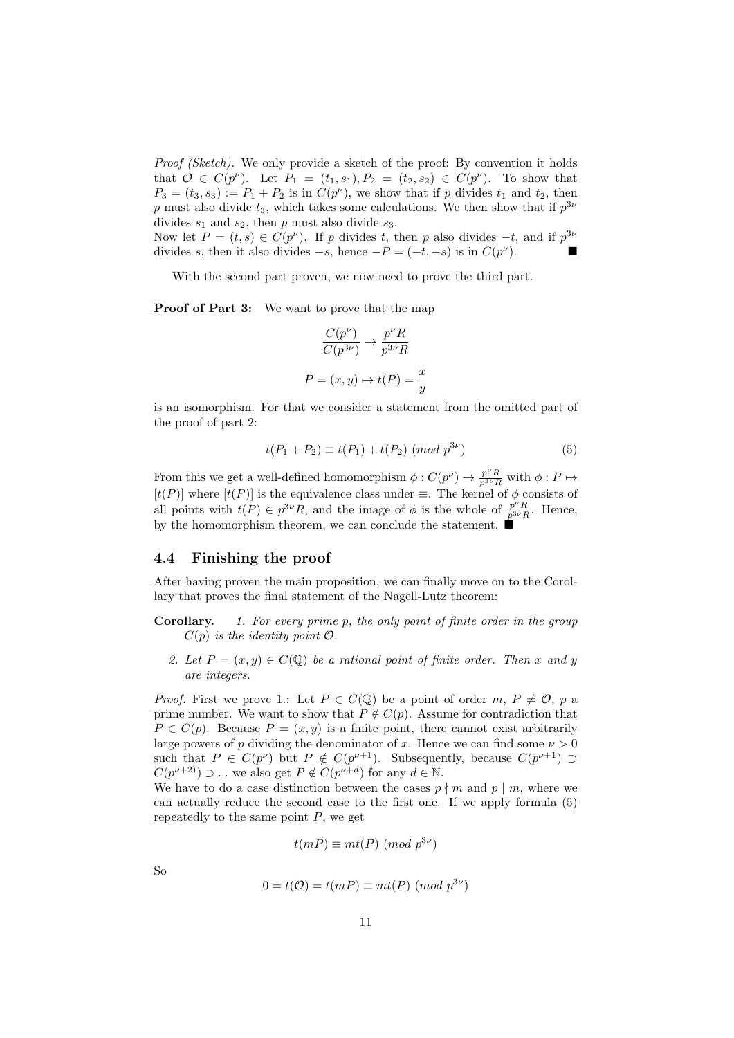Proof (Sketch). We only provide a sketch of the proof: By convention it holds that  $\mathcal{O} \in C(p^{\nu})$ . Let  $P_1 = (t_1, s_1), P_2 = (t_2, s_2) \in C(p^{\nu})$ . To show that  $P_3 = (t_3, s_3) := P_1 + P_2$  is in  $C(p^{\nu})$ , we show that if p divides  $t_1$  and  $t_2$ , then p must also divide  $t_3$ , which takes some calculations. We then show that if  $p^{3\nu}$ divides  $s_1$  and  $s_2$ , then p must also divide  $s_3$ .

Now let  $P = (t, s) \in C(p^{\nu})$ . If p divides t, then p also divides  $-t$ , and if  $p^{3\nu}$ divides s, then it also divides  $-s$ , hence  $-P = (-t, -s)$  is in  $C(p^{\nu})$ ).

With the second part proven, we now need to prove the third part.

Proof of Part 3: We want to prove that the map

$$
\frac{C(p^{\nu})}{C(p^{3\nu})} \to \frac{p^{\nu}R}{p^{3\nu}R}
$$

$$
P = (x, y) \mapsto t(P) = \frac{x}{y}
$$

is an isomorphism. For that we consider a statement from the omitted part of the proof of part 2:

$$
t(P_1 + P_2) \equiv t(P_1) + t(P_2) \pmod{p^{3\nu}}
$$
 (5)

From this we get a well-defined homomorphism  $\phi: C(p^{\nu}) \to \frac{p^{\nu}R}{p^{3\nu}R}$  with  $\phi: P \mapsto$  $[t(P)]$  where  $[t(P)]$  is the equivalence class under  $\equiv$ . The kernel of  $\phi$  consists of all points with  $t(P) \in p^{3\nu}R$ , and the image of  $\phi$  is the whole of  $\frac{p^{\nu}R}{p^{3\nu}R}$ . Hence, by the homomorphism theorem, we can conclude the statement.  $\blacksquare$ 

### 4.4 Finishing the proof

After having proven the main proposition, we can finally move on to the Corollary that proves the final statement of the Nagell-Lutz theorem:

- **Corollary.** 1. For every prime p, the only point of finite order in the group  $C(p)$  is the identity point  $\mathcal{O}.$ 
	- 2. Let  $P = (x, y) \in C(\mathbb{Q})$  be a rational point of finite order. Then x and y are integers.

*Proof.* First we prove 1.: Let  $P \in C(\mathbb{Q})$  be a point of order  $m, P \neq \mathcal{O}$ , p a prime number. We want to show that  $P \notin C(p)$ . Assume for contradiction that  $P \in C(p)$ . Because  $P = (x, y)$  is a finite point, there cannot exist arbitrarily large powers of p dividing the denominator of x. Hence we can find some  $\nu > 0$ such that  $P \in C(p^{\nu})$  but  $P \notin C(p^{\nu+1})$ . Subsequently, because  $C(p^{\nu+1}) \supset$  $C(p^{\nu+2})$   $\supset$  ... we also get  $P \notin C(p^{\nu+d})$  for any  $d \in \mathbb{N}$ .

We have to do a case distinction between the cases  $p \nmid m$  and  $p \mid m$ , where we can actually reduce the second case to the first one. If we apply formula (5) repeatedly to the same point  $P$ , we get

$$
t(mP) \equiv mt(P) \pmod{p^{3\nu}}
$$

So

$$
0 = t(\mathcal{O}) = t(mP) \equiv mt(P) \ (mod \ p^{3\nu})
$$